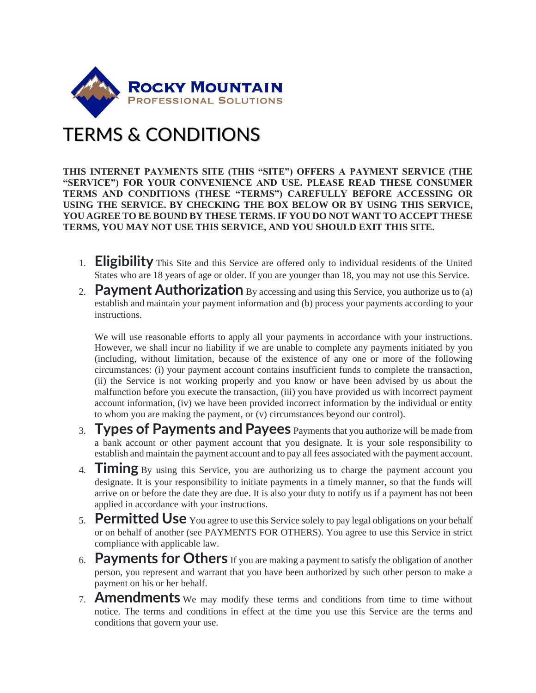

## TERMS & CONDITIONS

**THIS INTERNET PAYMENTS SITE (THIS "SITE") OFFERS A PAYMENT SERVICE (THE "SERVICE") FOR YOUR CONVENIENCE AND USE. PLEASE READ THESE CONSUMER TERMS AND CONDITIONS (THESE "TERMS") CAREFULLY BEFORE ACCESSING OR USING THE SERVICE. BY CHECKING THE BOX BELOW OR BY USING THIS SERVICE, YOU AGREE TO BE BOUND BY THESE TERMS. IF YOU DO NOT WANT TO ACCEPT THESE TERMS, YOU MAY NOT USE THIS SERVICE, AND YOU SHOULD EXIT THIS SITE.**

- 1. **Eligibility** This Site and this Service are offered only to individual residents of the United States who are 18 years of age or older. If you are younger than 18, you may not use this Service.
- 2. **Payment Authorization** By accessing and using this Service, you authorize us to (a) establish and maintain your payment information and (b) process your payments according to your instructions.

We will use reasonable efforts to apply all your payments in accordance with your instructions. However, we shall incur no liability if we are unable to complete any payments initiated by you (including, without limitation, because of the existence of any one or more of the following circumstances: (i) your payment account contains insufficient funds to complete the transaction, (ii) the Service is not working properly and you know or have been advised by us about the malfunction before you execute the transaction, (iii) you have provided us with incorrect payment account information, (iv) we have been provided incorrect information by the individual or entity to whom you are making the payment, or (v) circumstances beyond our control).

- 3. **Types of Payments and Payees** Payments that you authorize will be made from a bank account or other payment account that you designate. It is your sole responsibility to establish and maintain the payment account and to pay all fees associated with the payment account.
- 4. **Timing** By using this Service, you are authorizing us to charge the payment account you designate. It is your responsibility to initiate payments in a timely manner, so that the funds will arrive on or before the date they are due. It is also your duty to notify us if a payment has not been applied in accordance with your instructions.
- 5. **Permitted Use** You agree to use this Service solely to pay legal obligations on your behalf or on behalf of another (see PAYMENTS FOR OTHERS). You agree to use this Service in strict compliance with applicable law.
- 6. **Payments for Others** If you are making a payment to satisfy the obligation of another person, you represent and warrant that you have been authorized by such other person to make a payment on his or her behalf.
- 7. **Amendments** We may modify these terms and conditions from time to time without notice. The terms and conditions in effect at the time you use this Service are the terms and conditions that govern your use.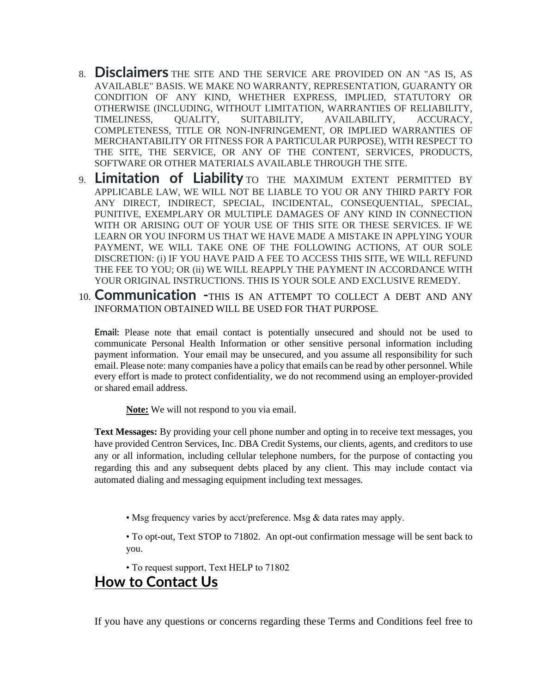- 8. **Disclaimers** THE SITE AND THE SERVICE ARE PROVIDED ON AN "AS IS, AS AVAILABLE" BASIS. WE MAKE NO WARRANTY, REPRESENTATION, GUARANTY OR CONDITION OF ANY KIND, WHETHER EXPRESS, IMPLIED, STATUTORY OR OTHERWISE (INCLUDING, WITHOUT LIMITATION, WARRANTIES OF RELIABILITY, TIMELINESS, QUALITY, SUITABILITY, AVAILABILITY, ACCURACY, COMPLETENESS, TITLE OR NON-INFRINGEMENT, OR IMPLIED WARRANTIES OF MERCHANTABILITY OR FITNESS FOR A PARTICULAR PURPOSE), WITH RESPECT TO THE SITE, THE SERVICE, OR ANY OF THE CONTENT, SERVICES, PRODUCTS, SOFTWARE OR OTHER MATERIALS AVAILABLE THROUGH THE SITE.
- 9. **Limitation of Liability** TO THE MAXIMUM EXTENT PERMITTED BY APPLICABLE LAW, WE WILL NOT BE LIABLE TO YOU OR ANY THIRD PARTY FOR ANY DIRECT, INDIRECT, SPECIAL, INCIDENTAL, CONSEQUENTIAL, SPECIAL, PUNITIVE, EXEMPLARY OR MULTIPLE DAMAGES OF ANY KIND IN CONNECTION WITH OR ARISING OUT OF YOUR USE OF THIS SITE OR THESE SERVICES. IF WE LEARN OR YOU INFORM US THAT WE HAVE MADE A MISTAKE IN APPLYING YOUR PAYMENT, WE WILL TAKE ONE OF THE FOLLOWING ACTIONS, AT OUR SOLE DISCRETION: (i) IF YOU HAVE PAID A FEE TO ACCESS THIS SITE, WE WILL REFUND THE FEE TO YOU; OR (ii) WE WILL REAPPLY THE PAYMENT IN ACCORDANCE WITH YOUR ORIGINAL INSTRUCTIONS. THIS IS YOUR SOLE AND EXCLUSIVE REMEDY.
- 10. **Communication -**THIS IS AN ATTEMPT TO COLLECT A DEBT AND ANY INFORMATION OBTAINED WILL BE USED FOR THAT PURPOSE.

**Email:** Please note that email contact is potentially unsecured and should not be used to communicate Personal Health Information or other sensitive personal information including payment information. Your email may be unsecured, and you assume all responsibility for such email. Please note: many companies have a policy that emails can be read by other personnel. While every effort is made to protect confidentiality, we do not recommend using an employer-provided or shared email address.

**Note:** We will not respond to you via email.

**Text Messages:** By providing your cell phone number and opting in to receive text messages, you have provided Centron Services, Inc. DBA Credit Systems, our clients, agents, and creditors to use any or all information, including cellular telephone numbers, for the purpose of contacting you regarding this and any subsequent debts placed by any client. This may include contact via automated dialing and messaging equipment including text messages.

• Msg frequency varies by acct/preference. Msg & data rates may apply.

• To opt-out, Text STOP to 71802. An opt-out confirmation message will be sent back to you.

• To request support, Text HELP to 71802

## **How to Contact Us**

If you have any questions or concerns regarding these Terms and Conditions feel free to